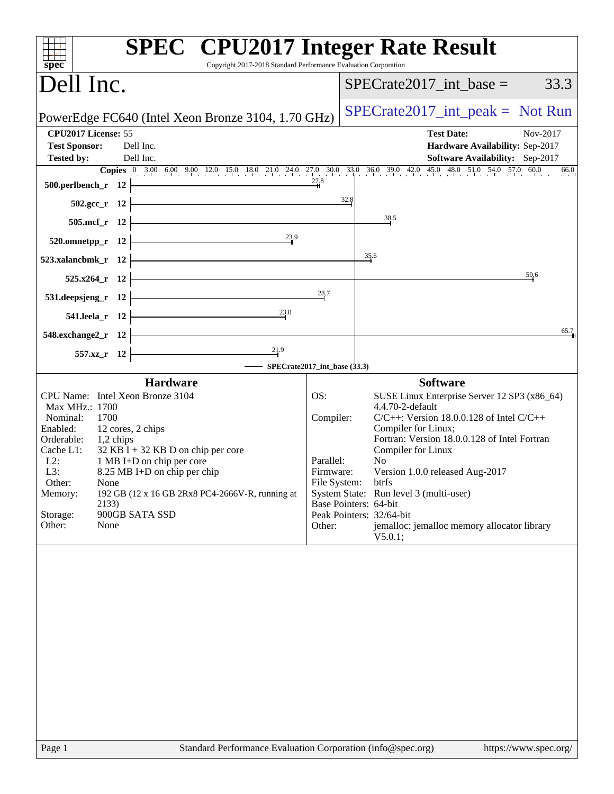| <b>SPEC<sup>®</sup></b> CPU2017 Integer Rate Result<br>Copyright 2017-2018 Standard Performance Evaluation Corporation<br>$spec^*$                                                                                                                                                                                                                                                                          |                                                      |                                                                                                                                                                                                                                                                                                                                                                                                                                         |
|-------------------------------------------------------------------------------------------------------------------------------------------------------------------------------------------------------------------------------------------------------------------------------------------------------------------------------------------------------------------------------------------------------------|------------------------------------------------------|-----------------------------------------------------------------------------------------------------------------------------------------------------------------------------------------------------------------------------------------------------------------------------------------------------------------------------------------------------------------------------------------------------------------------------------------|
| Dell Inc.                                                                                                                                                                                                                                                                                                                                                                                                   |                                                      | $SPECrate2017\_int\_base =$<br>33.3                                                                                                                                                                                                                                                                                                                                                                                                     |
| PowerEdge FC640 (Intel Xeon Bronze 3104, 1.70 GHz)                                                                                                                                                                                                                                                                                                                                                          |                                                      | $SPECrate2017\_int\_peak = Not Run$                                                                                                                                                                                                                                                                                                                                                                                                     |
| CPU2017 License: 55<br><b>Test Sponsor:</b><br>Dell Inc.<br>Dell Inc.<br><b>Tested by:</b><br><b>Copies</b> $\begin{bmatrix} 0 & 3.00 & 6.00 & 9.00 & 12.0 & 15.0 & 18.0 & 21.0 & 24.0 & 27.0 & 30.0 & 33.0 & 36.0 & 39.0 & 42.0 & 45.0 & 48.0 & 51.0 & 54.0 & 57.0 & 60.0 \end{bmatrix}$<br>500.perlbench_r $12$ $\vdash$                                                                                  |                                                      | <b>Test Date:</b><br>Nov-2017<br>Hardware Availability: Sep-2017<br>Software Availability: Sep-2017<br>66.0                                                                                                                                                                                                                                                                                                                             |
| $502.\text{sec}_r$ 12                                                                                                                                                                                                                                                                                                                                                                                       | 32.8                                                 |                                                                                                                                                                                                                                                                                                                                                                                                                                         |
| $505.\text{mcf}_r$ 12                                                                                                                                                                                                                                                                                                                                                                                       |                                                      | 38.5                                                                                                                                                                                                                                                                                                                                                                                                                                    |
| 23.9<br>$520.$ omnetpp_r 12                                                                                                                                                                                                                                                                                                                                                                                 |                                                      |                                                                                                                                                                                                                                                                                                                                                                                                                                         |
| 523.xalancbmk_r 12                                                                                                                                                                                                                                                                                                                                                                                          |                                                      | 35.6                                                                                                                                                                                                                                                                                                                                                                                                                                    |
| $525.x264_r$ 12                                                                                                                                                                                                                                                                                                                                                                                             |                                                      | $\frac{59}{4}6$                                                                                                                                                                                                                                                                                                                                                                                                                         |
| $\frac{28}{3}$ .<br>531.deepsjeng_r $12$ $\vdash$                                                                                                                                                                                                                                                                                                                                                           |                                                      |                                                                                                                                                                                                                                                                                                                                                                                                                                         |
| 541.leela_r 12 $\frac{23.0}{2}$                                                                                                                                                                                                                                                                                                                                                                             |                                                      |                                                                                                                                                                                                                                                                                                                                                                                                                                         |
| $548$ .exchange2_r 12                                                                                                                                                                                                                                                                                                                                                                                       |                                                      | 65.7                                                                                                                                                                                                                                                                                                                                                                                                                                    |
| $\overline{\phantom{a}21.9}$<br>557.xz_r 12<br>$\equiv$ SPECrate2017_int_base (33.3)                                                                                                                                                                                                                                                                                                                        |                                                      |                                                                                                                                                                                                                                                                                                                                                                                                                                         |
| <b>Hardware</b>                                                                                                                                                                                                                                                                                                                                                                                             |                                                      | <b>Software</b>                                                                                                                                                                                                                                                                                                                                                                                                                         |
| CPU Name: Intel Xeon Bronze 3104<br>Max MHz.: 1700<br>Nominal:<br>1700<br>12 cores, 2 chips<br>Enabled:<br>Orderable: 1,2 chips<br>$32$ KB I + 32 KB D on chip per core<br>Cache L1:<br>$L2$ :<br>1 MB I+D on chip per core<br>L3:<br>8.25 MB I+D on chip per chip<br>Other:<br>None<br>192 GB (12 x 16 GB 2Rx8 PC4-2666V-R, running at<br>Memory:<br>2133)<br>Storage:<br>900GB SATA SSD<br>Other:<br>None | OS:<br>Compiler:<br>Parallel:<br>Firmware:<br>Other: | SUSE Linux Enterprise Server 12 SP3 (x86_64)<br>4.4.70-2-default<br>$C/C++$ : Version 18.0.0.128 of Intel $C/C++$<br>Compiler for Linux;<br>Fortran: Version 18.0.0.128 of Intel Fortran<br>Compiler for Linux<br>No.<br>Version 1.0.0 released Aug-2017<br>File System: btrfs<br>System State: Run level 3 (multi-user)<br>Base Pointers: 64-bit<br>Peak Pointers: 32/64-bit<br>jemalloc: jemalloc memory allocator library<br>V5.0.1; |
|                                                                                                                                                                                                                                                                                                                                                                                                             |                                                      |                                                                                                                                                                                                                                                                                                                                                                                                                                         |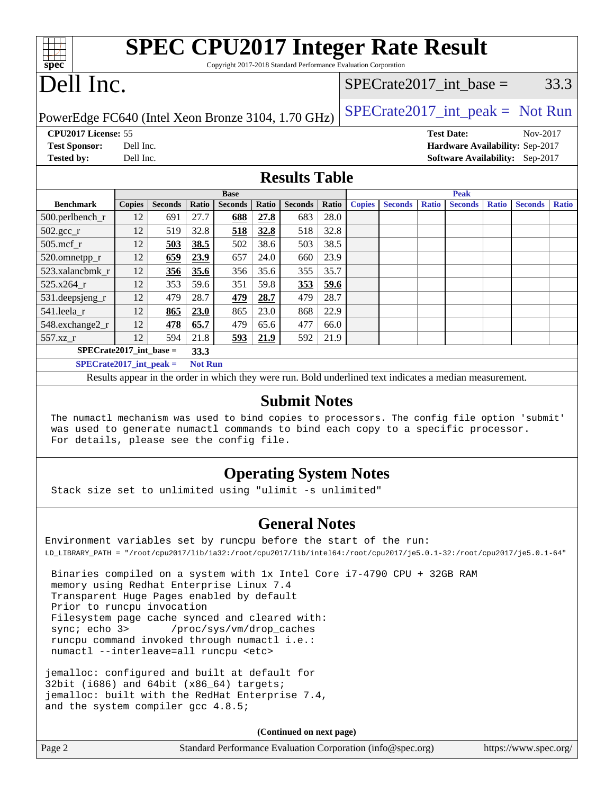| <b>SPEC CPU2017 Integer Rate Result</b><br>Copyright 2017-2018 Standard Performance Evaluation Corporation<br>spec <sup>®</sup>                                                                                                                     |               |                |                |                                                                                                          |       |                      |       |               |                |              |                |              |                                     |              |
|-----------------------------------------------------------------------------------------------------------------------------------------------------------------------------------------------------------------------------------------------------|---------------|----------------|----------------|----------------------------------------------------------------------------------------------------------|-------|----------------------|-------|---------------|----------------|--------------|----------------|--------------|-------------------------------------|--------------|
| Dell Inc.<br>$SPECrate2017\_int\_base =$                                                                                                                                                                                                            |               |                |                |                                                                                                          |       | 33.3                 |       |               |                |              |                |              |                                     |              |
| PowerEdge FC640 (Intel Xeon Bronze 3104, 1.70 GHz)                                                                                                                                                                                                  |               |                |                |                                                                                                          |       |                      |       |               |                |              |                |              | $SPECTate2017\_int\_peak = Not Run$ |              |
| CPU2017 License: 55<br><b>Test Date:</b><br>Nov-2017<br>Dell Inc.<br><b>Test Sponsor:</b><br>Hardware Availability: Sep-2017<br><b>Tested by:</b><br>Dell Inc.<br>Software Availability: Sep-2017                                                   |               |                |                |                                                                                                          |       |                      |       |               |                |              |                |              |                                     |              |
|                                                                                                                                                                                                                                                     |               |                |                |                                                                                                          |       | <b>Results Table</b> |       |               |                |              |                |              |                                     |              |
|                                                                                                                                                                                                                                                     |               |                |                | <b>Base</b>                                                                                              |       |                      |       |               |                |              | <b>Peak</b>    |              |                                     |              |
| <b>Benchmark</b>                                                                                                                                                                                                                                    | <b>Copies</b> | <b>Seconds</b> | Ratio          | <b>Seconds</b>                                                                                           | Ratio | <b>Seconds</b>       | Ratio | <b>Copies</b> | <b>Seconds</b> | <b>Ratio</b> | <b>Seconds</b> | <b>Ratio</b> | <b>Seconds</b>                      | <b>Ratio</b> |
| 500.perlbench_r                                                                                                                                                                                                                                     | 12            | 691            | 27.7           | 688                                                                                                      | 27.8  | 683                  | 28.0  |               |                |              |                |              |                                     |              |
| $502.\text{sec}$ _r                                                                                                                                                                                                                                 | 12            | 519            | 32.8           | 518                                                                                                      | 32.8  | 518                  | 32.8  |               |                |              |                |              |                                     |              |
| 505.mcf_r                                                                                                                                                                                                                                           | 12            | 503            | 38.5           | 502                                                                                                      | 38.6  | 503                  | 38.5  |               |                |              |                |              |                                     |              |
| 520.omnetpp_r                                                                                                                                                                                                                                       | 12            | 659            | 23.9           | 657                                                                                                      | 24.0  | 660                  | 23.9  |               |                |              |                |              |                                     |              |
| 523.xalancbmk r                                                                                                                                                                                                                                     | 12            | 356            | 35.6           | 356                                                                                                      | 35.6  | 355                  | 35.7  |               |                |              |                |              |                                     |              |
| 525.x264 r                                                                                                                                                                                                                                          | 12            | 353            | 59.6           | 351                                                                                                      | 59.8  | 353                  | 59.6  |               |                |              |                |              |                                     |              |
| 531.deepsjeng_r                                                                                                                                                                                                                                     | 12            | 479            | 28.7           | 479                                                                                                      | 28.7  | 479                  | 28.7  |               |                |              |                |              |                                     |              |
| 541.leela_r                                                                                                                                                                                                                                         | 12            | 865            | 23.0           | 865                                                                                                      | 23.0  | 868                  | 22.9  |               |                |              |                |              |                                     |              |
| 548.exchange2_r                                                                                                                                                                                                                                     | 12            | 478            | 65.7           | 479                                                                                                      | 65.6  | 477                  | 66.0  |               |                |              |                |              |                                     |              |
| 557.xz_r                                                                                                                                                                                                                                            | 12            | 594            | 21.8           | 593                                                                                                      | 21.9  | 592                  | 21.9  |               |                |              |                |              |                                     |              |
| $SPECrate2017\_int\_base =$                                                                                                                                                                                                                         |               |                | 33.3           |                                                                                                          |       |                      |       |               |                |              |                |              |                                     |              |
| $SPECrate2017\_int\_peak =$                                                                                                                                                                                                                         |               |                | <b>Not Run</b> |                                                                                                          |       |                      |       |               |                |              |                |              |                                     |              |
|                                                                                                                                                                                                                                                     |               |                |                | Results appear in the order in which they were run. Bold underlined text indicates a median measurement. |       |                      |       |               |                |              |                |              |                                     |              |
| <b>Submit Notes</b><br>The numactl mechanism was used to bind copies to processors. The config file option 'submit'<br>was used to generate numactl commands to bind each copy to a specific processor.<br>For details, please see the config file. |               |                |                |                                                                                                          |       |                      |       |               |                |              |                |              |                                     |              |
| <b>Operating System Notes</b><br>Stack size set to unlimited using "ulimit -s unlimited"                                                                                                                                                            |               |                |                |                                                                                                          |       |                      |       |               |                |              |                |              |                                     |              |
| <b>General Notes</b>                                                                                                                                                                                                                                |               |                |                |                                                                                                          |       |                      |       |               |                |              |                |              |                                     |              |
| Environment variables set by runcpu before the start of the run:                                                                                                                                                                                    |               |                |                |                                                                                                          |       |                      |       |               |                |              |                |              |                                     |              |
| LD_LIBRARY_PATH = "/root/cpu2017/lib/ia32:/root/cpu2017/lib/intel64:/root/cpu2017/je5.0.1-32:/root/cpu2017/je5.0.1-64"                                                                                                                              |               |                |                |                                                                                                          |       |                      |       |               |                |              |                |              |                                     |              |
| Binaries compiled on a system with 1x Intel Core i7-4790 CPU + 32GB RAM<br>memory using Redhat Enterprise Linux 7.4<br>Transparent Huge Pages enabled by default<br>Prior to runcpu invocation                                                      |               |                |                |                                                                                                          |       |                      |       |               |                |              |                |              |                                     |              |

 Filesystem page cache synced and cleared with: sync; echo 3> /proc/sys/vm/drop\_caches runcpu command invoked through numactl i.e.: numactl --interleave=all runcpu <etc>

jemalloc: configured and built at default for 32bit (i686) and 64bit (x86\_64) targets; jemalloc: built with the RedHat Enterprise 7.4, and the system compiler gcc 4.8.5;

**(Continued on next page)**

Page 2 Standard Performance Evaluation Corporation [\(info@spec.org\)](mailto:info@spec.org) <https://www.spec.org/>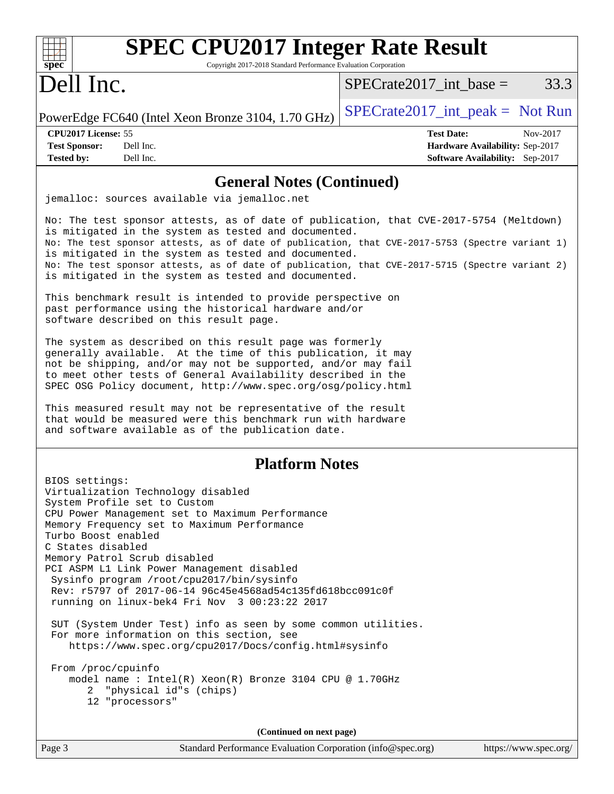| <b>SPEC CPU2017 Integer Rate Result</b><br>spec<br>Copyright 2017-2018 Standard Performance Evaluation Corporation                                                                                                                                                                                                                                                                                                                                                                                                                                                                                                                                                                                                                                                                           |                                                                                                     |
|----------------------------------------------------------------------------------------------------------------------------------------------------------------------------------------------------------------------------------------------------------------------------------------------------------------------------------------------------------------------------------------------------------------------------------------------------------------------------------------------------------------------------------------------------------------------------------------------------------------------------------------------------------------------------------------------------------------------------------------------------------------------------------------------|-----------------------------------------------------------------------------------------------------|
| Dell Inc.                                                                                                                                                                                                                                                                                                                                                                                                                                                                                                                                                                                                                                                                                                                                                                                    | 33.3<br>$SPECrate2017\_int\_base =$                                                                 |
| PowerEdge FC640 (Intel Xeon Bronze 3104, 1.70 GHz)                                                                                                                                                                                                                                                                                                                                                                                                                                                                                                                                                                                                                                                                                                                                           | $SPECrate2017\_int\_peak = Not Run$                                                                 |
| CPU2017 License: 55<br><b>Test Sponsor:</b><br>Dell Inc.<br>Dell Inc.<br><b>Tested by:</b>                                                                                                                                                                                                                                                                                                                                                                                                                                                                                                                                                                                                                                                                                                   | <b>Test Date:</b><br>Nov-2017<br>Hardware Availability: Sep-2017<br>Software Availability: Sep-2017 |
| <b>General Notes (Continued)</b>                                                                                                                                                                                                                                                                                                                                                                                                                                                                                                                                                                                                                                                                                                                                                             |                                                                                                     |
| jemalloc: sources available via jemalloc.net                                                                                                                                                                                                                                                                                                                                                                                                                                                                                                                                                                                                                                                                                                                                                 |                                                                                                     |
| No: The test sponsor attests, as of date of publication, that CVE-2017-5754 (Meltdown)<br>is mitigated in the system as tested and documented.<br>No: The test sponsor attests, as of date of publication, that CVE-2017-5753 (Spectre variant 1)<br>is mitigated in the system as tested and documented.<br>No: The test sponsor attests, as of date of publication, that CVE-2017-5715 (Spectre variant 2)<br>is mitigated in the system as tested and documented.<br>This benchmark result is intended to provide perspective on                                                                                                                                                                                                                                                          |                                                                                                     |
| past performance using the historical hardware and/or<br>software described on this result page.                                                                                                                                                                                                                                                                                                                                                                                                                                                                                                                                                                                                                                                                                             |                                                                                                     |
| The system as described on this result page was formerly<br>generally available. At the time of this publication, it may<br>not be shipping, and/or may not be supported, and/or may fail<br>to meet other tests of General Availability described in the<br>SPEC OSG Policy document, http://www.spec.org/osg/policy.html<br>This measured result may not be representative of the result<br>that would be measured were this benchmark run with hardware<br>and software available as of the publication date.                                                                                                                                                                                                                                                                             |                                                                                                     |
| <b>Platform Notes</b>                                                                                                                                                                                                                                                                                                                                                                                                                                                                                                                                                                                                                                                                                                                                                                        |                                                                                                     |
| BIOS settings:<br>Virtualization Technology disabled<br>System Profile set to Custom<br>CPU Power Management set to Maximum Performance<br>Memory Frequency set to Maximum Performance<br>Turbo Boost enabled<br>C States disabled<br>Memory Patrol Scrub disabled<br>PCI ASPM L1 Link Power Management disabled<br>Sysinfo program /root/cpu2017/bin/sysinfo<br>Rev: r5797 of 2017-06-14 96c45e4568ad54c135fd618bcc091c0f<br>running on linux-bek4 Fri Nov 3 00:23:22 2017<br>SUT (System Under Test) info as seen by some common utilities.<br>For more information on this section, see<br>https://www.spec.org/cpu2017/Docs/config.html#sysinfo<br>From /proc/cpuinfo<br>model name : $Intel(R)$ Xeon $(R)$ Bronze 3104 CPU @ 1.70GHz<br>"physical id"s (chips)<br>2.<br>12 "processors" |                                                                                                     |
| (Continued on next page)                                                                                                                                                                                                                                                                                                                                                                                                                                                                                                                                                                                                                                                                                                                                                                     |                                                                                                     |
| Page 3<br>Standard Performance Evaluation Corporation (info@spec.org)                                                                                                                                                                                                                                                                                                                                                                                                                                                                                                                                                                                                                                                                                                                        | https://www.spec.org/                                                                               |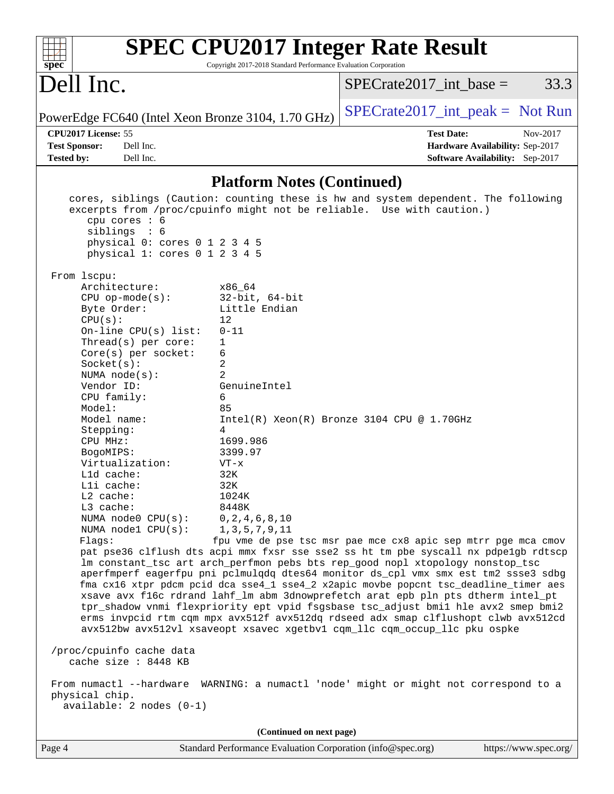| <b>SPEC CPU2017 Integer Rate Result</b><br>Copyright 2017-2018 Standard Performance Evaluation Corporation<br>spec <sup>®</sup>                                                                                                                                                                                                                                                                                                                                                                                                                                                                                                                                                                                                                                                                                                                                                                                                                                                                                                                                                                                                                                                                                                                                                                                                                                                                                                                                                                                                                                                                                                                                                                                                                                                              |                                     |  |  |  |  |
|----------------------------------------------------------------------------------------------------------------------------------------------------------------------------------------------------------------------------------------------------------------------------------------------------------------------------------------------------------------------------------------------------------------------------------------------------------------------------------------------------------------------------------------------------------------------------------------------------------------------------------------------------------------------------------------------------------------------------------------------------------------------------------------------------------------------------------------------------------------------------------------------------------------------------------------------------------------------------------------------------------------------------------------------------------------------------------------------------------------------------------------------------------------------------------------------------------------------------------------------------------------------------------------------------------------------------------------------------------------------------------------------------------------------------------------------------------------------------------------------------------------------------------------------------------------------------------------------------------------------------------------------------------------------------------------------------------------------------------------------------------------------------------------------|-------------------------------------|--|--|--|--|
| Dell Inc.                                                                                                                                                                                                                                                                                                                                                                                                                                                                                                                                                                                                                                                                                                                                                                                                                                                                                                                                                                                                                                                                                                                                                                                                                                                                                                                                                                                                                                                                                                                                                                                                                                                                                                                                                                                    | 33.3<br>$SPECrate2017\_int\_base =$ |  |  |  |  |
| PowerEdge FC640 (Intel Xeon Bronze 3104, 1.70 GHz)                                                                                                                                                                                                                                                                                                                                                                                                                                                                                                                                                                                                                                                                                                                                                                                                                                                                                                                                                                                                                                                                                                                                                                                                                                                                                                                                                                                                                                                                                                                                                                                                                                                                                                                                           | $SPECrate2017\_int\_peak = Not Run$ |  |  |  |  |
| CPU2017 License: 55                                                                                                                                                                                                                                                                                                                                                                                                                                                                                                                                                                                                                                                                                                                                                                                                                                                                                                                                                                                                                                                                                                                                                                                                                                                                                                                                                                                                                                                                                                                                                                                                                                                                                                                                                                          | <b>Test Date:</b><br>Nov-2017       |  |  |  |  |
| Dell Inc.<br><b>Test Sponsor:</b>                                                                                                                                                                                                                                                                                                                                                                                                                                                                                                                                                                                                                                                                                                                                                                                                                                                                                                                                                                                                                                                                                                                                                                                                                                                                                                                                                                                                                                                                                                                                                                                                                                                                                                                                                            | Hardware Availability: Sep-2017     |  |  |  |  |
| Dell Inc.<br><b>Tested by:</b>                                                                                                                                                                                                                                                                                                                                                                                                                                                                                                                                                                                                                                                                                                                                                                                                                                                                                                                                                                                                                                                                                                                                                                                                                                                                                                                                                                                                                                                                                                                                                                                                                                                                                                                                                               | Software Availability: Sep-2017     |  |  |  |  |
| <b>Platform Notes (Continued)</b>                                                                                                                                                                                                                                                                                                                                                                                                                                                                                                                                                                                                                                                                                                                                                                                                                                                                                                                                                                                                                                                                                                                                                                                                                                                                                                                                                                                                                                                                                                                                                                                                                                                                                                                                                            |                                     |  |  |  |  |
| cores, siblings (Caution: counting these is hw and system dependent. The following<br>excerpts from /proc/cpuinfo might not be reliable. Use with caution.)<br>cpu cores : 6<br>siblings : 6<br>physical 0: cores 0 1 2 3 4 5<br>physical 1: cores 0 1 2 3 4 5<br>From 1scpu:<br>Architecture:<br>x86 64<br>$CPU$ op-mode( $s$ ):<br>$32$ -bit, $64$ -bit<br>Little Endian<br>Byte Order:<br>12<br>CPU(s):<br>On-line $CPU(s)$ list:<br>$0 - 11$<br>Thread(s) per core:<br>1<br>$Core(s)$ per socket:<br>6<br>2<br>Socket(s):<br>$\overline{2}$<br>NUMA $node(s)$ :<br>Vendor ID:<br>GenuineIntel<br>6<br>CPU family:<br>Model:<br>85<br>Model name:<br>$Intel(R) Xeon(R) Bronze 3104 CPU @ 1.70GHz$<br>Stepping:<br>4<br>CPU MHz:<br>1699.986<br>BogoMIPS:<br>3399.97<br>Virtualization:<br>$VT - x$<br>$L1d$ cache:<br>32K<br>Lli cache:<br>32K<br>L2 cache:<br>1024K<br>L3 cache:<br>8448K<br>NUMA node0 CPU(s):<br>0, 2, 4, 6, 8, 10<br>NUMA nodel CPU(s):<br>1, 3, 5, 7, 9, 11<br>fpu vme de pse tsc msr pae mce cx8 apic sep mtrr pge mca cmov<br>Flags:<br>pat pse36 clflush dts acpi mmx fxsr sse sse2 ss ht tm pbe syscall nx pdpelgb rdtscp<br>lm constant_tsc art arch_perfmon pebs bts rep_good nopl xtopology nonstop_tsc<br>aperfmperf eagerfpu pni pclmulqdq dtes64 monitor ds_cpl vmx smx est tm2 ssse3 sdbg<br>fma cx16 xtpr pdcm pcid dca sse4_1 sse4_2 x2apic movbe popcnt tsc_deadline_timer aes<br>xsave avx f16c rdrand lahf_lm abm 3dnowprefetch arat epb pln pts dtherm intel_pt<br>tpr_shadow vnmi flexpriority ept vpid fsgsbase tsc_adjust bmil hle avx2 smep bmi2<br>erms invpcid rtm cqm mpx avx512f avx512dq rdseed adx smap clflushopt clwb avx512cd<br>avx512bw avx512vl xsaveopt xsavec xgetbvl cqm_llc cqm_occup_llc pku ospke<br>/proc/cpuinfo cache data |                                     |  |  |  |  |
| From numactl --hardware WARNING: a numactl 'node' might or might not correspond to a<br>physical chip.<br>$available: 2 nodes (0-1)$                                                                                                                                                                                                                                                                                                                                                                                                                                                                                                                                                                                                                                                                                                                                                                                                                                                                                                                                                                                                                                                                                                                                                                                                                                                                                                                                                                                                                                                                                                                                                                                                                                                         |                                     |  |  |  |  |
| (Continued on next page)                                                                                                                                                                                                                                                                                                                                                                                                                                                                                                                                                                                                                                                                                                                                                                                                                                                                                                                                                                                                                                                                                                                                                                                                                                                                                                                                                                                                                                                                                                                                                                                                                                                                                                                                                                     |                                     |  |  |  |  |
| Page 4<br>Standard Performance Evaluation Corporation (info@spec.org)                                                                                                                                                                                                                                                                                                                                                                                                                                                                                                                                                                                                                                                                                                                                                                                                                                                                                                                                                                                                                                                                                                                                                                                                                                                                                                                                                                                                                                                                                                                                                                                                                                                                                                                        | https://www.spec.org/               |  |  |  |  |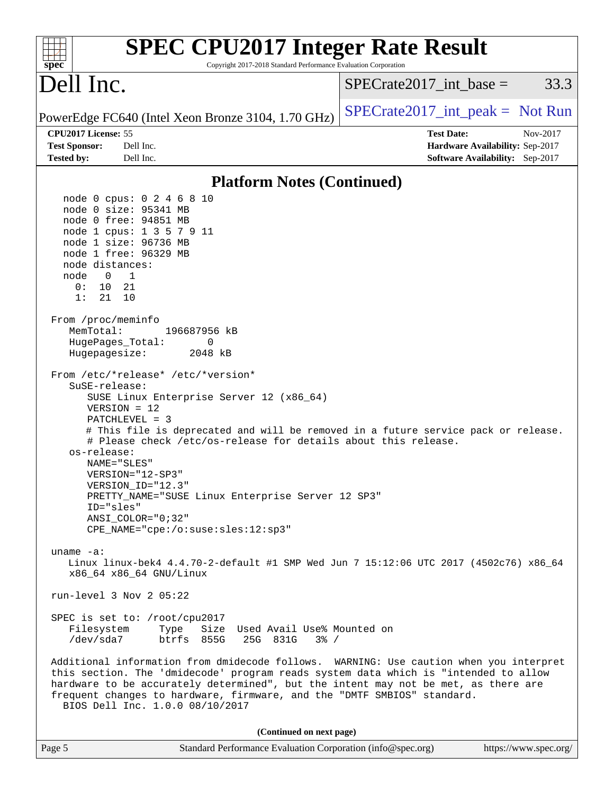| <b>SPEC CPU2017 Integer Rate Result</b><br>Copyright 2017-2018 Standard Performance Evaluation Corporation<br>$spec^*$                                                                                                                                                                                                                                                            |                                                                                                     |
|-----------------------------------------------------------------------------------------------------------------------------------------------------------------------------------------------------------------------------------------------------------------------------------------------------------------------------------------------------------------------------------|-----------------------------------------------------------------------------------------------------|
| Dell Inc.                                                                                                                                                                                                                                                                                                                                                                         | $SPECrate2017\_int\_base =$<br>33.3                                                                 |
| PowerEdge FC640 (Intel Xeon Bronze 3104, 1.70 GHz)                                                                                                                                                                                                                                                                                                                                | $SPECrate2017\_int\_peak = Not Run$                                                                 |
| CPU2017 License: 55<br><b>Test Sponsor:</b><br>Dell Inc.<br><b>Tested by:</b><br>Dell Inc.                                                                                                                                                                                                                                                                                        | <b>Test Date:</b><br>Nov-2017<br>Hardware Availability: Sep-2017<br>Software Availability: Sep-2017 |
|                                                                                                                                                                                                                                                                                                                                                                                   |                                                                                                     |
| <b>Platform Notes (Continued)</b>                                                                                                                                                                                                                                                                                                                                                 |                                                                                                     |
| node 0 cpus: 0 2 4 6 8 10<br>node 0 size: 95341 MB<br>node 0 free: 94851 MB<br>node 1 cpus: 1 3 5 7 9 11<br>node 1 size: 96736 MB<br>node 1 free: 96329 MB<br>node distances:<br>$\overline{\phantom{a}}$<br>node<br>$\overline{0}$<br>0 :<br>10<br>21<br>1:<br>21<br>10<br>From /proc/meminfo<br>MemTotal:<br>196687956 kB<br>0<br>HugePages_Total:                              |                                                                                                     |
| Hugepagesize:<br>2048 kB<br>From /etc/*release* /etc/*version*<br>SuSE-release:<br>SUSE Linux Enterprise Server 12 (x86_64)<br>$VERSION = 12$<br>PATCHLEVEL = 3<br># This file is deprecated and will be removed in a future service pack or release.<br># Please check /etc/os-release for details about this release.                                                           |                                                                                                     |
| os-release:<br>NAME="SLES"<br>VERSION="12-SP3"<br>VERSION ID="12.3"<br>PRETTY_NAME="SUSE Linux Enterprise Server 12 SP3"<br>ID="sles"<br>$ANSI$ _COLOR=" $0:32$ "<br>CPE_NAME="cpe:/o:suse:sles:12:sp3"                                                                                                                                                                           |                                                                                                     |
| uname $-a$ :<br>Linux linux-bek4 4.4.70-2-default #1 SMP Wed Jun 7 15:12:06 UTC 2017 (4502c76) x86_64<br>x86_64 x86_64 GNU/Linux                                                                                                                                                                                                                                                  |                                                                                                     |
| run-level $3$ Nov $2$ 05:22                                                                                                                                                                                                                                                                                                                                                       |                                                                                                     |
| SPEC is set to: /root/cpu2017<br>Size Used Avail Use% Mounted on<br>Filesystem<br>Type<br>/dev/sda7<br>btrfs 855G<br>25G 831G<br>$3\frac{6}{9}$ /                                                                                                                                                                                                                                 |                                                                                                     |
| Additional information from dmidecode follows. WARNING: Use caution when you interpret<br>this section. The 'dmidecode' program reads system data which is "intended to allow<br>hardware to be accurately determined", but the intent may not be met, as there are<br>frequent changes to hardware, firmware, and the "DMTF SMBIOS" standard.<br>BIOS Dell Inc. 1.0.0 08/10/2017 |                                                                                                     |
| (Continued on next page)                                                                                                                                                                                                                                                                                                                                                          |                                                                                                     |
| Standard Performance Evaluation Corporation (info@spec.org)<br>Page 5                                                                                                                                                                                                                                                                                                             | https://www.spec.org/                                                                               |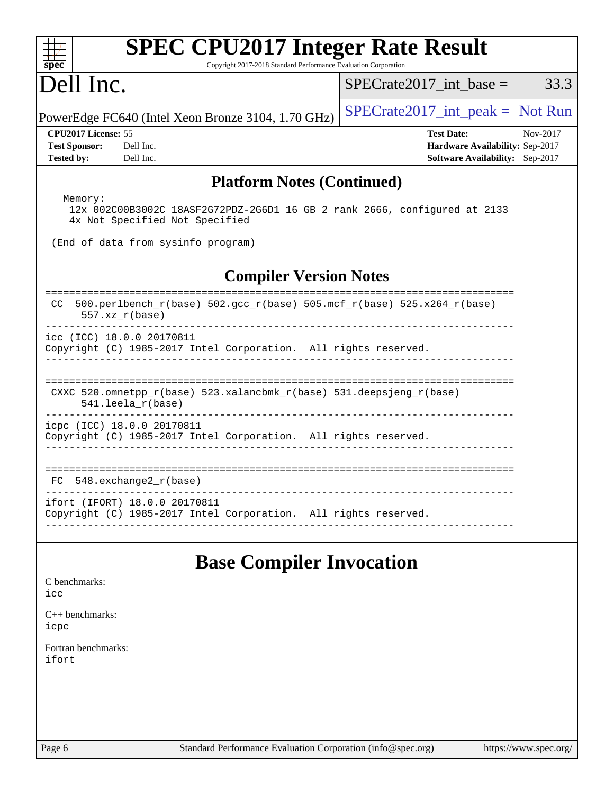| <b>SPEC CPU2017 Integer Rate Result</b><br>Copyright 2017-2018 Standard Performance Evaluation Corporation<br>spec <sup>®</sup> |                                                                                                            |
|---------------------------------------------------------------------------------------------------------------------------------|------------------------------------------------------------------------------------------------------------|
| Dell Inc.                                                                                                                       | $SPECrate2017\_int\_base =$<br>33.3                                                                        |
| PowerEdge FC640 (Intel Xeon Bronze 3104, 1.70 GHz)                                                                              | $SPECTate2017\_int\_peak = Not Run$                                                                        |
| CPU2017 License: 55<br><b>Test Sponsor:</b><br>Dell Inc.<br><b>Tested by:</b><br>Dell Inc.                                      | <b>Test Date:</b><br>Nov-2017<br>Hardware Availability: Sep-2017<br><b>Software Availability:</b> Sep-2017 |
| <b>Platform Notes (Continued)</b>                                                                                               |                                                                                                            |
| Memory:<br>12x 002C00B3002C 18ASF2G72PDZ-2G6D1 16 GB 2 rank 2666, configured at 2133<br>4x Not Specified Not Specified          |                                                                                                            |
| (End of data from sysinfo program)                                                                                              |                                                                                                            |
| <b>Compiler Version Notes</b>                                                                                                   |                                                                                                            |
| ==============<br>500.perlbench_r(base) 502.gcc_r(base) 505.mcf_r(base) 525.x264_r(base)<br>CC.<br>$557.xx$ $r(base)$           | ======================                                                                                     |
| icc (ICC) 18.0.0 20170811<br>Copyright (C) 1985-2017 Intel Corporation. All rights reserved.                                    |                                                                                                            |
| CXXC 520.omnetpp_r(base) 523.xalancbmk_r(base) 531.deepsjeng_r(base)<br>$541.$ leela r(base)                                    |                                                                                                            |
| icpc (ICC) 18.0.0 20170811<br>Copyright (C) 1985-2017 Intel Corporation. All rights reserved.                                   |                                                                                                            |
| $548$ . exchange $2\degree$ r (base)<br>FC.                                                                                     |                                                                                                            |
| ifort (IFORT) 18.0.0 20170811<br>Copyright (C) 1985-2017 Intel Corporation. All rights reserved.                                |                                                                                                            |
| <b>Base Compiler Invocation</b><br>C benchmarks:                                                                                |                                                                                                            |
| icc<br>$C_{++}$ benchmarks:<br>icpc                                                                                             |                                                                                                            |
| Fortran benchmarks:<br>ifort                                                                                                    |                                                                                                            |
|                                                                                                                                 |                                                                                                            |
|                                                                                                                                 |                                                                                                            |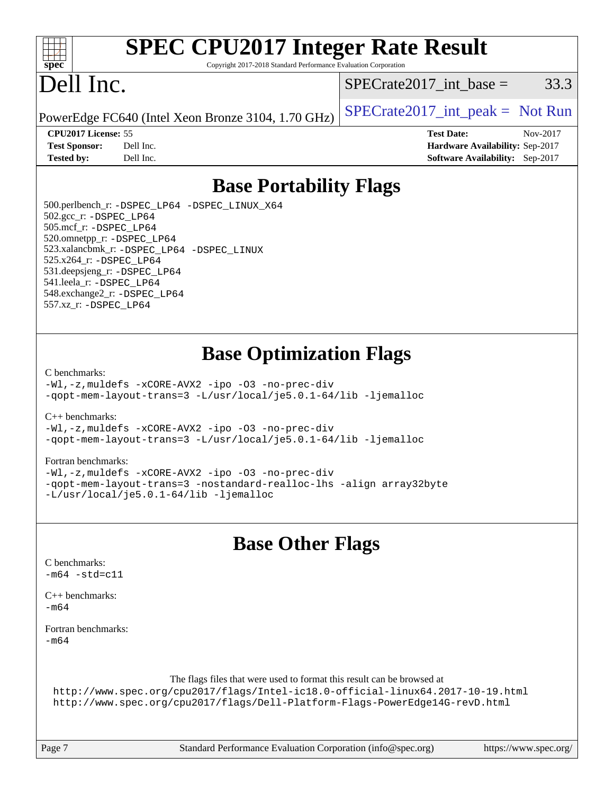

# **[SPEC CPU2017 Integer Rate Result](http://www.spec.org/auto/cpu2017/Docs/result-fields.html#SPECCPU2017IntegerRateResult)**

Copyright 2017-2018 Standard Performance Evaluation Corporation

## Dell Inc.

 $SPECTate2017\_int\_base = 33.3$ 

PowerEdge FC640 (Intel Xeon Bronze 3104, 1.70 GHz)  $\left|$  [SPECrate2017\\_int\\_peak =](http://www.spec.org/auto/cpu2017/Docs/result-fields.html#SPECrate2017intpeak) Not Run

**[CPU2017 License:](http://www.spec.org/auto/cpu2017/Docs/result-fields.html#CPU2017License)** 55 **[Test Date:](http://www.spec.org/auto/cpu2017/Docs/result-fields.html#TestDate)** Nov-2017 **[Test Sponsor:](http://www.spec.org/auto/cpu2017/Docs/result-fields.html#TestSponsor)** Dell Inc. **[Hardware Availability:](http://www.spec.org/auto/cpu2017/Docs/result-fields.html#HardwareAvailability)** Sep-2017 **[Tested by:](http://www.spec.org/auto/cpu2017/Docs/result-fields.html#Testedby)** Dell Inc. **[Software Availability:](http://www.spec.org/auto/cpu2017/Docs/result-fields.html#SoftwareAvailability)** Sep-2017

### **[Base Portability Flags](http://www.spec.org/auto/cpu2017/Docs/result-fields.html#BasePortabilityFlags)**

 500.perlbench\_r: [-DSPEC\\_LP64](http://www.spec.org/cpu2017/results/res2018q1/cpu2017-20180122-02916.flags.html#b500.perlbench_r_basePORTABILITY_DSPEC_LP64) [-DSPEC\\_LINUX\\_X64](http://www.spec.org/cpu2017/results/res2018q1/cpu2017-20180122-02916.flags.html#b500.perlbench_r_baseCPORTABILITY_DSPEC_LINUX_X64) 502.gcc\_r: [-DSPEC\\_LP64](http://www.spec.org/cpu2017/results/res2018q1/cpu2017-20180122-02916.flags.html#suite_basePORTABILITY502_gcc_r_DSPEC_LP64) 505.mcf\_r: [-DSPEC\\_LP64](http://www.spec.org/cpu2017/results/res2018q1/cpu2017-20180122-02916.flags.html#suite_basePORTABILITY505_mcf_r_DSPEC_LP64) 520.omnetpp\_r: [-DSPEC\\_LP64](http://www.spec.org/cpu2017/results/res2018q1/cpu2017-20180122-02916.flags.html#suite_basePORTABILITY520_omnetpp_r_DSPEC_LP64) 523.xalancbmk\_r: [-DSPEC\\_LP64](http://www.spec.org/cpu2017/results/res2018q1/cpu2017-20180122-02916.flags.html#suite_basePORTABILITY523_xalancbmk_r_DSPEC_LP64) [-DSPEC\\_LINUX](http://www.spec.org/cpu2017/results/res2018q1/cpu2017-20180122-02916.flags.html#b523.xalancbmk_r_baseCXXPORTABILITY_DSPEC_LINUX) 525.x264\_r: [-DSPEC\\_LP64](http://www.spec.org/cpu2017/results/res2018q1/cpu2017-20180122-02916.flags.html#suite_basePORTABILITY525_x264_r_DSPEC_LP64) 531.deepsjeng\_r: [-DSPEC\\_LP64](http://www.spec.org/cpu2017/results/res2018q1/cpu2017-20180122-02916.flags.html#suite_basePORTABILITY531_deepsjeng_r_DSPEC_LP64) 541.leela\_r: [-DSPEC\\_LP64](http://www.spec.org/cpu2017/results/res2018q1/cpu2017-20180122-02916.flags.html#suite_basePORTABILITY541_leela_r_DSPEC_LP64) 548.exchange2\_r: [-DSPEC\\_LP64](http://www.spec.org/cpu2017/results/res2018q1/cpu2017-20180122-02916.flags.html#suite_basePORTABILITY548_exchange2_r_DSPEC_LP64) 557.xz\_r: [-DSPEC\\_LP64](http://www.spec.org/cpu2017/results/res2018q1/cpu2017-20180122-02916.flags.html#suite_basePORTABILITY557_xz_r_DSPEC_LP64)

### **[Base Optimization Flags](http://www.spec.org/auto/cpu2017/Docs/result-fields.html#BaseOptimizationFlags)**

#### [C benchmarks](http://www.spec.org/auto/cpu2017/Docs/result-fields.html#Cbenchmarks):

[-Wl,-z,muldefs](http://www.spec.org/cpu2017/results/res2018q1/cpu2017-20180122-02916.flags.html#user_CCbase_link_force_multiple1_b4cbdb97b34bdee9ceefcfe54f4c8ea74255f0b02a4b23e853cdb0e18eb4525ac79b5a88067c842dd0ee6996c24547a27a4b99331201badda8798ef8a743f577) [-xCORE-AVX2](http://www.spec.org/cpu2017/results/res2018q1/cpu2017-20180122-02916.flags.html#user_CCbase_f-xCORE-AVX2) [-ipo](http://www.spec.org/cpu2017/results/res2018q1/cpu2017-20180122-02916.flags.html#user_CCbase_f-ipo) [-O3](http://www.spec.org/cpu2017/results/res2018q1/cpu2017-20180122-02916.flags.html#user_CCbase_f-O3) [-no-prec-div](http://www.spec.org/cpu2017/results/res2018q1/cpu2017-20180122-02916.flags.html#user_CCbase_f-no-prec-div) [-qopt-mem-layout-trans=3](http://www.spec.org/cpu2017/results/res2018q1/cpu2017-20180122-02916.flags.html#user_CCbase_f-qopt-mem-layout-trans_de80db37974c74b1f0e20d883f0b675c88c3b01e9d123adea9b28688d64333345fb62bc4a798493513fdb68f60282f9a726aa07f478b2f7113531aecce732043) [-L/usr/local/je5.0.1-64/lib](http://www.spec.org/cpu2017/results/res2018q1/cpu2017-20180122-02916.flags.html#user_CCbase_jemalloc_link_path64_4b10a636b7bce113509b17f3bd0d6226c5fb2346b9178c2d0232c14f04ab830f976640479e5c33dc2bcbbdad86ecfb6634cbbd4418746f06f368b512fced5394) [-ljemalloc](http://www.spec.org/cpu2017/results/res2018q1/cpu2017-20180122-02916.flags.html#user_CCbase_jemalloc_link_lib_d1249b907c500fa1c0672f44f562e3d0f79738ae9e3c4a9c376d49f265a04b9c99b167ecedbf6711b3085be911c67ff61f150a17b3472be731631ba4d0471706)

[C++ benchmarks:](http://www.spec.org/auto/cpu2017/Docs/result-fields.html#CXXbenchmarks)

[-Wl,-z,muldefs](http://www.spec.org/cpu2017/results/res2018q1/cpu2017-20180122-02916.flags.html#user_CXXbase_link_force_multiple1_b4cbdb97b34bdee9ceefcfe54f4c8ea74255f0b02a4b23e853cdb0e18eb4525ac79b5a88067c842dd0ee6996c24547a27a4b99331201badda8798ef8a743f577) [-xCORE-AVX2](http://www.spec.org/cpu2017/results/res2018q1/cpu2017-20180122-02916.flags.html#user_CXXbase_f-xCORE-AVX2) [-ipo](http://www.spec.org/cpu2017/results/res2018q1/cpu2017-20180122-02916.flags.html#user_CXXbase_f-ipo) [-O3](http://www.spec.org/cpu2017/results/res2018q1/cpu2017-20180122-02916.flags.html#user_CXXbase_f-O3) [-no-prec-div](http://www.spec.org/cpu2017/results/res2018q1/cpu2017-20180122-02916.flags.html#user_CXXbase_f-no-prec-div) [-qopt-mem-layout-trans=3](http://www.spec.org/cpu2017/results/res2018q1/cpu2017-20180122-02916.flags.html#user_CXXbase_f-qopt-mem-layout-trans_de80db37974c74b1f0e20d883f0b675c88c3b01e9d123adea9b28688d64333345fb62bc4a798493513fdb68f60282f9a726aa07f478b2f7113531aecce732043) [-L/usr/local/je5.0.1-64/lib](http://www.spec.org/cpu2017/results/res2018q1/cpu2017-20180122-02916.flags.html#user_CXXbase_jemalloc_link_path64_4b10a636b7bce113509b17f3bd0d6226c5fb2346b9178c2d0232c14f04ab830f976640479e5c33dc2bcbbdad86ecfb6634cbbd4418746f06f368b512fced5394) [-ljemalloc](http://www.spec.org/cpu2017/results/res2018q1/cpu2017-20180122-02916.flags.html#user_CXXbase_jemalloc_link_lib_d1249b907c500fa1c0672f44f562e3d0f79738ae9e3c4a9c376d49f265a04b9c99b167ecedbf6711b3085be911c67ff61f150a17b3472be731631ba4d0471706)

#### [Fortran benchmarks](http://www.spec.org/auto/cpu2017/Docs/result-fields.html#Fortranbenchmarks):

[-Wl,-z,muldefs](http://www.spec.org/cpu2017/results/res2018q1/cpu2017-20180122-02916.flags.html#user_FCbase_link_force_multiple1_b4cbdb97b34bdee9ceefcfe54f4c8ea74255f0b02a4b23e853cdb0e18eb4525ac79b5a88067c842dd0ee6996c24547a27a4b99331201badda8798ef8a743f577) [-xCORE-AVX2](http://www.spec.org/cpu2017/results/res2018q1/cpu2017-20180122-02916.flags.html#user_FCbase_f-xCORE-AVX2) [-ipo](http://www.spec.org/cpu2017/results/res2018q1/cpu2017-20180122-02916.flags.html#user_FCbase_f-ipo) [-O3](http://www.spec.org/cpu2017/results/res2018q1/cpu2017-20180122-02916.flags.html#user_FCbase_f-O3) [-no-prec-div](http://www.spec.org/cpu2017/results/res2018q1/cpu2017-20180122-02916.flags.html#user_FCbase_f-no-prec-div) [-qopt-mem-layout-trans=3](http://www.spec.org/cpu2017/results/res2018q1/cpu2017-20180122-02916.flags.html#user_FCbase_f-qopt-mem-layout-trans_de80db37974c74b1f0e20d883f0b675c88c3b01e9d123adea9b28688d64333345fb62bc4a798493513fdb68f60282f9a726aa07f478b2f7113531aecce732043) [-nostandard-realloc-lhs](http://www.spec.org/cpu2017/results/res2018q1/cpu2017-20180122-02916.flags.html#user_FCbase_f_2003_std_realloc_82b4557e90729c0f113870c07e44d33d6f5a304b4f63d4c15d2d0f1fab99f5daaed73bdb9275d9ae411527f28b936061aa8b9c8f2d63842963b95c9dd6426b8a) [-align array32byte](http://www.spec.org/cpu2017/results/res2018q1/cpu2017-20180122-02916.flags.html#user_FCbase_align_array32byte_b982fe038af199962ba9a80c053b8342c548c85b40b8e86eb3cc33dee0d7986a4af373ac2d51c3f7cf710a18d62fdce2948f201cd044323541f22fc0fffc51b6) [-L/usr/local/je5.0.1-64/lib](http://www.spec.org/cpu2017/results/res2018q1/cpu2017-20180122-02916.flags.html#user_FCbase_jemalloc_link_path64_4b10a636b7bce113509b17f3bd0d6226c5fb2346b9178c2d0232c14f04ab830f976640479e5c33dc2bcbbdad86ecfb6634cbbd4418746f06f368b512fced5394) [-ljemalloc](http://www.spec.org/cpu2017/results/res2018q1/cpu2017-20180122-02916.flags.html#user_FCbase_jemalloc_link_lib_d1249b907c500fa1c0672f44f562e3d0f79738ae9e3c4a9c376d49f265a04b9c99b167ecedbf6711b3085be911c67ff61f150a17b3472be731631ba4d0471706)

#### **[Base Other Flags](http://www.spec.org/auto/cpu2017/Docs/result-fields.html#BaseOtherFlags)**

|                      | o                                                                                                                                                                                                                                                                                                                                                                                                     |                           |
|----------------------|-------------------------------------------------------------------------------------------------------------------------------------------------------------------------------------------------------------------------------------------------------------------------------------------------------------------------------------------------------------------------------------------------------|---------------------------|
| C benchmarks:        |                                                                                                                                                                                                                                                                                                                                                                                                       |                           |
| $-m64$ $-std= c11$   |                                                                                                                                                                                                                                                                                                                                                                                                       |                           |
| $C_{++}$ benchmarks: |                                                                                                                                                                                                                                                                                                                                                                                                       |                           |
| -m64                 |                                                                                                                                                                                                                                                                                                                                                                                                       |                           |
| Fortran benchmarks:  |                                                                                                                                                                                                                                                                                                                                                                                                       |                           |
| -m64                 |                                                                                                                                                                                                                                                                                                                                                                                                       |                           |
|                      |                                                                                                                                                                                                                                                                                                                                                                                                       |                           |
|                      | The flags files that were used to format this result can be browsed at                                                                                                                                                                                                                                                                                                                                |                           |
|                      | http://www.spec.org/cpu2017/flags/Intel-ic18.0-official-linux64.2017-10-19.html                                                                                                                                                                                                                                                                                                                       |                           |
|                      | http://www.spec.org/cpu2017/flags/Dell-Platform-Flags-PowerEdge14G-revD.html                                                                                                                                                                                                                                                                                                                          |                           |
|                      |                                                                                                                                                                                                                                                                                                                                                                                                       |                           |
|                      |                                                                                                                                                                                                                                                                                                                                                                                                       |                           |
|                      | $\alpha$ , $\mathbf{1}$ , $\mathbf{1}$ , $\mathbf{R}$ , $\mathbf{1}$ , $\alpha$ , $\alpha$ , $\alpha$ , $\alpha$ , $\alpha$ , $\alpha$ , $\alpha$ , $\alpha$ , $\alpha$ , $\alpha$ , $\alpha$ , $\alpha$ , $\alpha$ , $\alpha$ , $\alpha$ , $\alpha$ , $\alpha$ , $\alpha$ , $\alpha$ , $\alpha$ , $\alpha$ , $\alpha$ , $\alpha$ , $\alpha$ , $\alpha$ , $\alpha$ , $\alpha$ , $\alpha$ , $\alpha$ , | $\mathbf{1}$ $\mathbf{1}$ |